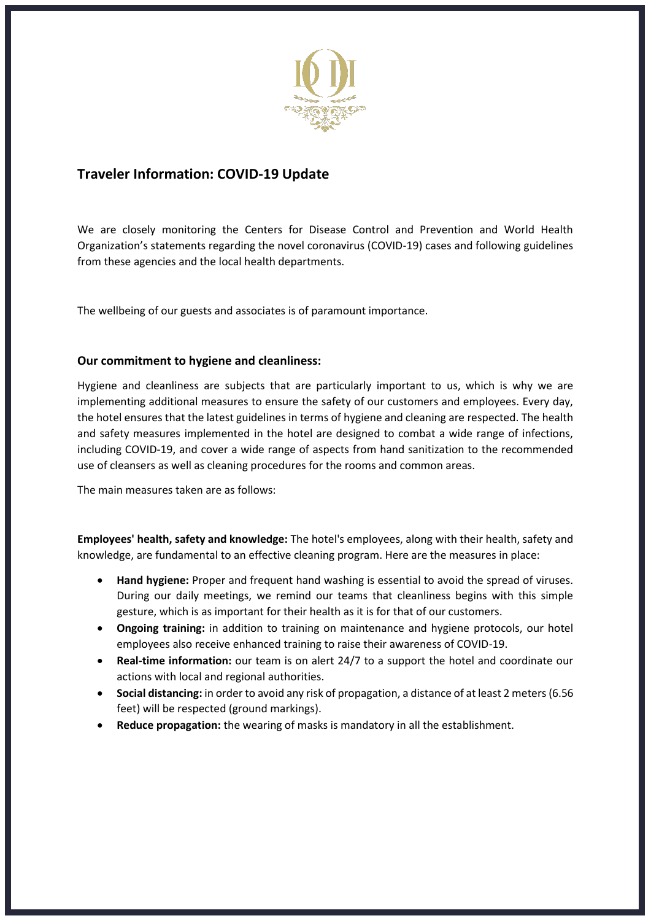

## **Traveler Information: COVID-19 Update**

We are closely monitoring the Centers for Disease Control and Prevention and World Health Organization's statements regarding the novel coronavirus (COVID-19) cases and following guidelines from these agencies and the local health departments.

The wellbeing of our guests and associates is of paramount importance.

## **Our commitment to hygiene and cleanliness:**

Hygiene and cleanliness are subjects that are particularly important to us, which is why we are implementing additional measures to ensure the safety of our customers and employees. Every day, the hotel ensures that the latest guidelines in terms of hygiene and cleaning are respected. The health and safety measures implemented in the hotel are designed to combat a wide range of infections, including COVID-19, and cover a wide range of aspects from hand sanitization to the recommended use of cleansers as well as cleaning procedures for the rooms and common areas.

The main measures taken are as follows:

**Employees' health, safety and knowledge:** The hotel's employees, along with their health, safety and knowledge, are fundamental to an effective cleaning program. Here are the measures in place:

- **Hand hygiene:** Proper and frequent hand washing is essential to avoid the spread of viruses. During our daily meetings, we remind our teams that cleanliness begins with this simple gesture, which is as important for their health as it is for that of our customers.
- **Ongoing training:** in addition to training on maintenance and hygiene protocols, our hotel employees also receive enhanced training to raise their awareness of COVID-19.
- **Real-time information:** our team is on alert 24/7 to a support the hotel and coordinate our actions with local and regional authorities.
- **Social distancing:** in order to avoid any risk of propagation, a distance of at least 2 meters(6.56 feet) will be respected (ground markings).
- **Reduce propagation:** the wearing of masks is mandatory in all the establishment.